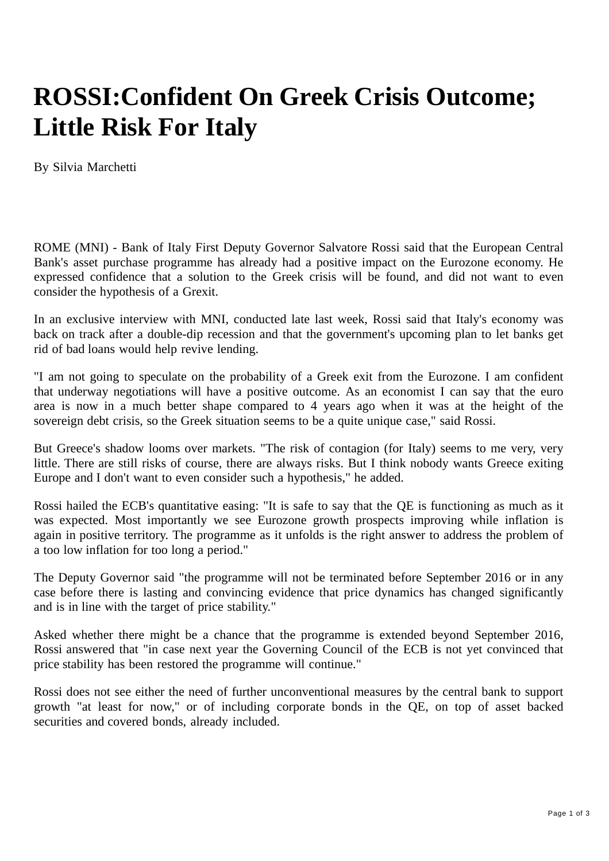## **ROSSI:Confident On Greek Crisis Outcome; Little Risk For Italy**

By Silvia Marchetti

ROME (MNI) - Bank of Italy First Deputy Governor Salvatore Rossi said that the European Central Bank's asset purchase programme has already had a positive impact on the Eurozone economy. He expressed confidence that a solution to the Greek crisis will be found, and did not want to even consider the hypothesis of a Grexit.

In an exclusive interview with MNI, conducted late last week, Rossi said that Italy's economy was back on track after a double-dip recession and that the government's upcoming plan to let banks get rid of bad loans would help revive lending.

"I am not going to speculate on the probability of a Greek exit from the Eurozone. I am confident that underway negotiations will have a positive outcome. As an economist I can say that the euro area is now in a much better shape compared to 4 years ago when it was at the height of the sovereign debt crisis, so the Greek situation seems to be a quite unique case," said Rossi.

But Greece's shadow looms over markets. "The risk of contagion (for Italy) seems to me very, very little. There are still risks of course, there are always risks. But I think nobody wants Greece exiting Europe and I don't want to even consider such a hypothesis," he added.

Rossi hailed the ECB's quantitative easing: "It is safe to say that the QE is functioning as much as it was expected. Most importantly we see Eurozone growth prospects improving while inflation is again in positive territory. The programme as it unfolds is the right answer to address the problem of a too low inflation for too long a period."

The Deputy Governor said "the programme will not be terminated before September 2016 or in any case before there is lasting and convincing evidence that price dynamics has changed significantly and is in line with the target of price stability."

Asked whether there might be a chance that the programme is extended beyond September 2016, Rossi answered that "in case next year the Governing Council of the ECB is not yet convinced that price stability has been restored the programme will continue."

Rossi does not see either the need of further unconventional measures by the central bank to support growth "at least for now," or of including corporate bonds in the QE, on top of asset backed securities and covered bonds, already included.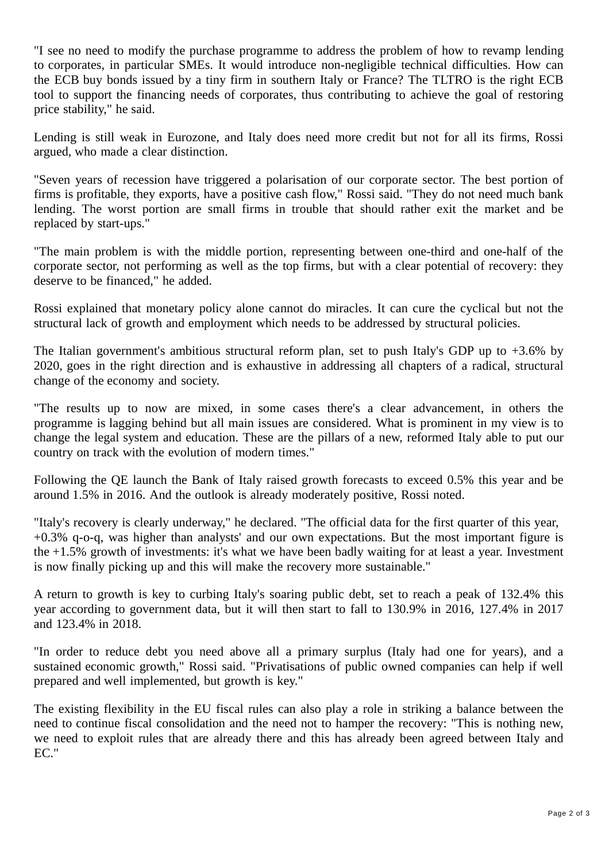"I see no need to modify the purchase programme to address the problem of how to revamp lending to corporates, in particular SMEs. It would introduce non-negligible technical difficulties. How can the ECB buy bonds issued by a tiny firm in southern Italy or France? The TLTRO is the right ECB tool to support the financing needs of corporates, thus contributing to achieve the goal of restoring price stability," he said.

Lending is still weak in Eurozone, and Italy does need more credit but not for all its firms, Rossi argued, who made a clear distinction.

"Seven years of recession have triggered a polarisation of our corporate sector. The best portion of firms is profitable, they exports, have a positive cash flow," Rossi said. "They do not need much bank lending. The worst portion are small firms in trouble that should rather exit the market and be replaced by start-ups."

"The main problem is with the middle portion, representing between one-third and one-half of the corporate sector, not performing as well as the top firms, but with a clear potential of recovery: they deserve to be financed," he added.

Rossi explained that monetary policy alone cannot do miracles. It can cure the cyclical but not the structural lack of growth and employment which needs to be addressed by structural policies.

The Italian government's ambitious structural reform plan, set to push Italy's GDP up to  $+3.6\%$  by 2020, goes in the right direction and is exhaustive in addressing all chapters of a radical, structural change of the economy and society.

"The results up to now are mixed, in some cases there's a clear advancement, in others the programme is lagging behind but all main issues are considered. What is prominent in my view is to change the legal system and education. These are the pillars of a new, reformed Italy able to put our country on track with the evolution of modern times."

Following the QE launch the Bank of Italy raised growth forecasts to exceed 0.5% this year and be around 1.5% in 2016. And the outlook is already moderately positive, Rossi noted.

"Italy's recovery is clearly underway," he declared. "The official data for the first quarter of this year, +0.3% q-o-q, was higher than analysts' and our own expectations. But the most important figure is the +1.5% growth of investments: it's what we have been badly waiting for at least a year. Investment is now finally picking up and this will make the recovery more sustainable."

A return to growth is key to curbing Italy's soaring public debt, set to reach a peak of 132.4% this year according to government data, but it will then start to fall to 130.9% in 2016, 127.4% in 2017 and 123.4% in 2018.

"In order to reduce debt you need above all a primary surplus (Italy had one for years), and a sustained economic growth," Rossi said. "Privatisations of public owned companies can help if well prepared and well implemented, but growth is key."

The existing flexibility in the EU fiscal rules can also play a role in striking a balance between the need to continue fiscal consolidation and the need not to hamper the recovery: "This is nothing new, we need to exploit rules that are already there and this has already been agreed between Italy and EC."